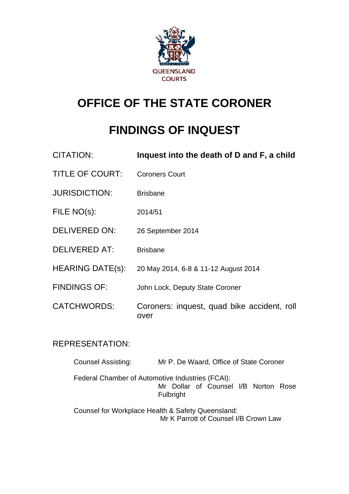

# **OFFICE OF THE STATE CORONER**

# **FINDINGS OF INQUEST**

| <b>CITATION:</b>        | Inquest into the death of D and F, a child          |
|-------------------------|-----------------------------------------------------|
| <b>TITLE OF COURT:</b>  | <b>Coroners Court</b>                               |
| <b>JURISDICTION:</b>    | <b>Brisbane</b>                                     |
| FILE NO(s):             | 2014/51                                             |
| <b>DELIVERED ON:</b>    | 26 September 2014                                   |
| <b>DELIVERED AT:</b>    | <b>Brisbane</b>                                     |
| <b>HEARING DATE(s):</b> | 20 May 2014, 6-8 & 11-12 August 2014                |
| <b>FINDINGS OF:</b>     | John Lock, Deputy State Coroner                     |
| <b>CATCHWORDS:</b>      | Coroners: inquest, quad bike accident, roll<br>over |

## REPRESENTATION:

| <b>Counsel Assisting:</b> | Mr P. De Waard, Office of State Coroner                                                               |
|---------------------------|-------------------------------------------------------------------------------------------------------|
|                           | Federal Chamber of Automotive Industries (FCAI):<br>Mr Dollar of Counsel I/B Norton Rose<br>Fulbright |
|                           | Counsel for Workplace Health & Safety Queensland:<br>Mr K Parrott of Counsel I/B Crown Law            |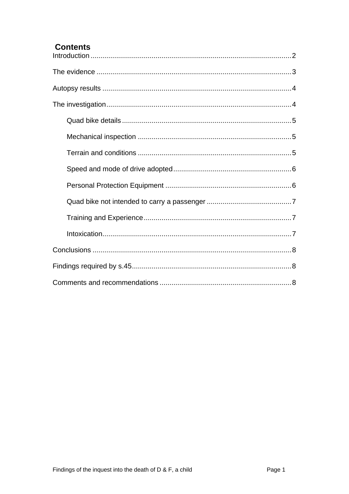## **Contents**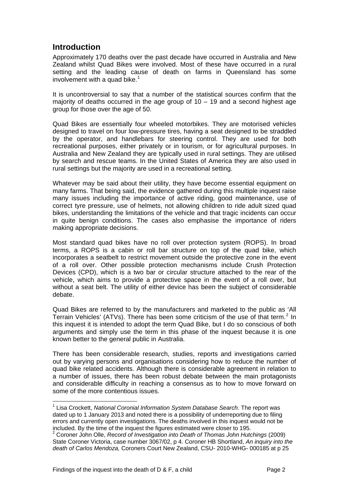## **Introduction**

<span id="page-2-0"></span>Approximately 170 deaths over the past decade have occurred in Australia and New Zealand whilst Quad Bikes were involved. Most of these have occurred in a rural setting and the leading cause of death on farms in Queensland has some involvement with a quad bike.<sup>[1](#page-2-1)</sup>

It is uncontroversial to say that a number of the statistical sources confirm that the majority of deaths occurred in the age group of  $10 - 19$  and a second highest age group for those over the age of 50.

Quad Bikes are essentially four wheeled motorbikes. They are motorised vehicles designed to travel on four low-pressure tires, having a seat designed to be straddled by the operator, and handlebars for steering control. They are used for both recreational purposes, either privately or in tourism, or for agricultural purposes. In Australia and New Zealand they are typically used in rural settings. They are utilised by search and rescue teams. In the United States of America they are also used in rural settings but the majority are used in a recreational setting.

Whatever may be said about their utility, they have become essential equipment on many farms. That being said, the evidence gathered during this multiple inquest raise many issues including the importance of active riding, good maintenance, use of correct tyre pressure, use of helmets, not allowing children to ride adult sized quad bikes, understanding the limitations of the vehicle and that tragic incidents can occur in quite benign conditions. The cases also emphasise the importance of riders making appropriate decisions.

Most standard quad bikes have no roll over protection system (ROPS). In broad terms, a ROPS is a cabin or roll bar structure on top of the quad bike, which incorporates a seatbelt to restrict movement outside the protective zone in the event of a roll over. Other possible protection mechanisms include Crush Protection Devices (CPD), which is a two bar or circular structure attached to the rear of the vehicle, which aims to provide a protective space in the event of a roll over, but without a seat belt. The utility of either device has been the subject of considerable debate.

Quad Bikes are referred to by the manufacturers and marketed to the public as 'All Terrain Vehicles' (ATVs). There has been some criticism of the use of that term.<sup>[2](#page-2-2)</sup> In this inquest it is intended to adopt the term Quad Bike, but I do so conscious of both arguments and simply use the term in this phase of the inquest because it is one known better to the general public in Australia.

There has been considerable research, studies, reports and investigations carried out by varying persons and organisations considering how to reduce the number of quad bike related accidents. Although there is considerable agreement in relation to a number of issues, there has been robust debate between the main protagonists and considerable difficulty in reaching a consensus as to how to move forward on some of the more contentious issues.

l

<span id="page-2-1"></span><sup>&</sup>lt;sup>1</sup> Lisa Crockett, *National Coronial Information System Database Search.* The report was dated up to 1 January 2013 and noted there is a possibility of underreporting due to filing errors and currently open investigations. The deaths involved in this inquest would not be included. By the time of the inquest the figures estimated were closer to 195. 2

<span id="page-2-2"></span><sup>&</sup>lt;sup>2</sup> Coroner John Olle, *Record of Investigation into Death of Thomas John Hutchings (2009)* State Coroner Victoria, case number 3067/02, p 4. Coroner HB Shortland, *An inquiry into the death of Carlos Mendoza,* Coroners Court New Zealand, CSU- 2010-WHG- 000185 at p 25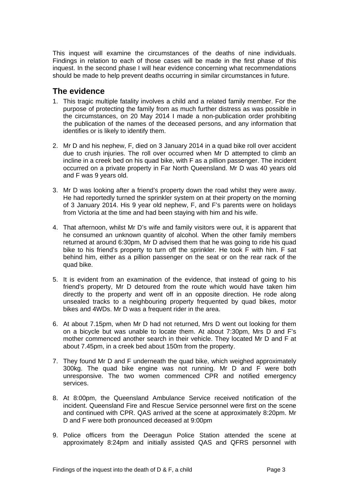This inquest will examine the circumstances of the deaths of nine individuals. Findings in relation to each of those cases will be made in the first phase of this inquest. In the second phase I will hear evidence concerning what recommendations should be made to help prevent deaths occurring in similar circumstances in future.

### <span id="page-3-0"></span>**The evidence**

- 1. This tragic multiple fatality involves a child and a related family member. For the purpose of protecting the family from as much further distress as was possible in the circumstances, on 20 May 2014 I made a non-publication order prohibiting the publication of the names of the deceased persons, and any information that identifies or is likely to identify them.
- 2. Mr D and his nephew, F, died on 3 January 2014 in a quad bike roll over accident due to crush injuries. The roll over occurred when Mr D attempted to climb an incline in a creek bed on his quad bike, with F as a pillion passenger. The incident occurred on a private property in Far North Queensland. Mr D was 40 years old and F was 9 years old.
- 3. Mr D was looking after a friend's property down the road whilst they were away. He had reportedly turned the sprinkler system on at their property on the morning of 3 January 2014. His 9 year old nephew, F, and F's parents were on holidays from Victoria at the time and had been staying with him and his wife.
- 4. That afternoon, whilst Mr D's wife and family visitors were out, it is apparent that he consumed an unknown quantity of alcohol. When the other family members returned at around 6:30pm, Mr D advised them that he was going to ride his quad bike to his friend's property to turn off the sprinkler. He took F with him. F sat behind him, either as a pillion passenger on the seat or on the rear rack of the quad bike.
- 5. It is evident from an examination of the evidence, that instead of going to his friend's property, Mr D detoured from the route which would have taken him directly to the property and went off in an opposite direction. He rode along unsealed tracks to a neighbouring property frequented by quad bikes, motor bikes and 4WDs. Mr D was a frequent rider in the area.
- 6. At about 7.15pm, when Mr D had not returned, Mrs D went out looking for them on a bicycle but was unable to locate them. At about 7:30pm, Mrs D and F's mother commenced another search in their vehicle. They located Mr D and F at about 7.45pm, in a creek bed about 150m from the property.
- 7. They found Mr D and F underneath the quad bike, which weighed approximately 300kg. The quad bike engine was not running. Mr D and F were both unresponsive. The two women commenced CPR and notified emergency services.
- 8. At 8:00pm, the Queensland Ambulance Service received notification of the incident. Queensland Fire and Rescue Service personnel were first on the scene and continued with CPR. QAS arrived at the scene at approximately 8:20pm. Mr D and F were both pronounced deceased at 9:00pm
- 9. Police officers from the Deeragun Police Station attended the scene at approximately 8:24pm and initially assisted QAS and QFRS personnel with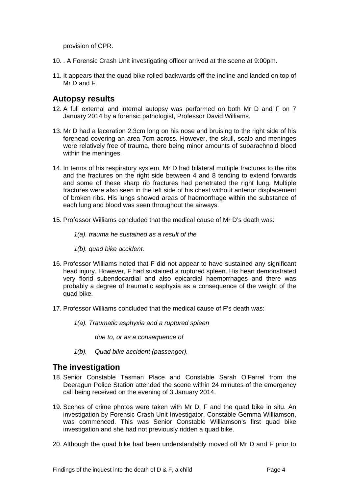provision of CPR.

- 10. . A Forensic Crash Unit investigating officer arrived at the scene at 9:00pm.
- 11. It appears that the quad bike rolled backwards off the incline and landed on top of Mr D and F.

### <span id="page-4-0"></span>**Autopsy results**

- 12. A full external and internal autopsy was performed on both Mr D and F on 7 January 2014 by a forensic pathologist, Professor David Williams.
- 13. Mr D had a laceration 2.3cm long on his nose and bruising to the right side of his forehead covering an area 7cm across. However, the skull, scalp and meninges were relatively free of trauma, there being minor amounts of subarachnoid blood within the meninges.
- 14. In terms of his respiratory system, Mr D had bilateral multiple fractures to the ribs and the fractures on the right side between 4 and 8 tending to extend forwards and some of these sharp rib fractures had penetrated the right lung. Multiple fractures were also seen in the left side of his chest without anterior displacement of broken ribs. His lungs showed areas of haemorrhage within the substance of each lung and blood was seen throughout the airways.
- 15. Professor Williams concluded that the medical cause of Mr D's death was:
	- *1(a). trauma he sustained as a result of the*
	- *1(b). quad bike accident.*
- 16. Professor Williams noted that F did not appear to have sustained any significant head injury. However, F had sustained a ruptured spleen. His heart demonstrated very florid subendocardial and also epicardial haemorrhages and there was probably a degree of traumatic asphyxia as a consequence of the weight of the quad bike.
- 17. Professor Williams concluded that the medical cause of F's death was:
	- *1(a). Traumatic asphyxia and a ruptured spleen* 
		- *due to, or as a consequence of*
	- *1(b). Quad bike accident (passenger).*

#### <span id="page-4-1"></span>**The investigation**

- 18. Senior Constable Tasman Place and Constable Sarah O'Farrel from the Deeragun Police Station attended the scene within 24 minutes of the emergency call being received on the evening of 3 January 2014.
- 19. Scenes of crime photos were taken with Mr D, F and the quad bike in situ. An investigation by Forensic Crash Unit Investigator, Constable Gemma Williamson, was commenced. This was Senior Constable Williamson's first quad bike investigation and she had not previously ridden a quad bike.
- 20. Although the quad bike had been understandably moved off Mr D and F prior to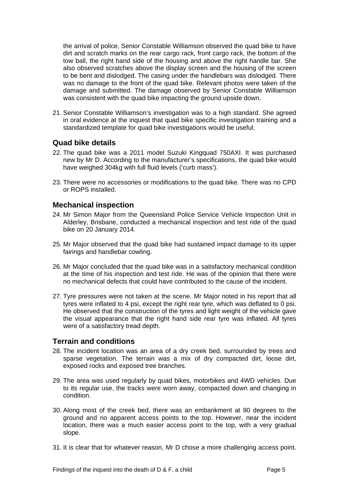the arrival of police, Senior Constable Williamson observed the quad bike to have dirt and scratch marks on the rear cargo rack, front cargo rack, the bottom of the tow ball, the right hand side of the housing and above the right handle bar. She also observed scratches above the display screen and the housing of the screen to be bent and dislodged. The casing under the handlebars was dislodged. There was no damage to the front of the quad bike. Relevant photos were taken of the damage and submitted. The damage observed by Senior Constable Williamson was consistent with the quad bike impacting the ground upside down.

21. Senior Constable Williamson's investigation was to a high standard. She agreed in oral evidence at the inquest that quad bike specific investigation training and a standardized template for quad bike investigations would be useful.

#### <span id="page-5-0"></span>**Quad bike details**

- 22. The quad bike was a 2011 model Suzuki Kingquad 750AXI. It was purchased new by Mr D. According to the manufacturer's specifications, the quad bike would have weighed 304kg with full fluid levels ('curb mass').
- 23. There were no accessories or modifications to the quad bike. There was no CPD or ROPS installed.

#### <span id="page-5-1"></span>**Mechanical inspection**

- 24. Mr Simon Major from the Queensland Police Service Vehicle Inspection Unit in Alderley, Brisbane, conducted a mechanical inspection and test ride of the quad bike on 20 January 2014.
- 25. Mr Major observed that the quad bike had sustained impact damage to its upper fairings and handlebar cowling.
- 26. Mr Major concluded that the quad bike was in a satisfactory mechanical condition at the time of his inspection and test ride. He was of the opinion that there were no mechanical defects that could have contributed to the cause of the incident.
- 27. Tyre pressures were not taken at the scene. Mr Major noted in his report that all tyres were inflated to 4 psi, except the right rear tyre, which was deflated to 0 psi. He observed that the construction of the tyres and light weight of the vehicle gave the visual appearance that the right hand side rear tyre was inflated. All tyres were of a satisfactory tread depth.

#### <span id="page-5-2"></span>**Terrain and conditions**

- 28. The incident location was an area of a dry creek bed, surrounded by trees and sparse vegetation. The terrain was a mix of dry compacted dirt, loose dirt, exposed rocks and exposed tree branches.
- 29. The area was used regularly by quad bikes, motorbikes and 4WD vehicles. Due to its regular use, the tracks were worn away, compacted down and changing in condition.
- 30. Along most of the creek bed, there was an embankment at 90 degrees to the ground and no apparent access points to the top. However, near the incident location, there was a much easier access point to the top, with a very gradual slope.
- 31. It is clear that for whatever reason, Mr D chose a more challenging access point.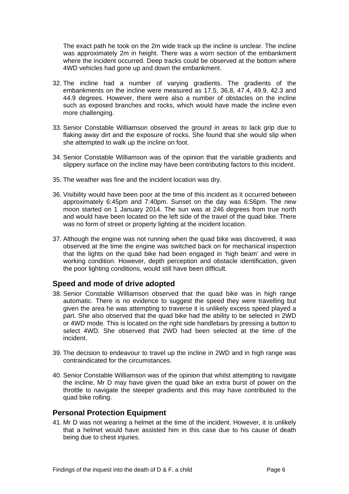The exact path he took on the 2m wide track up the incline is unclear. The incline was approximately 2m in height. There was a worn section of the embankment where the incident occurred. Deep tracks could be observed at the bottom where 4WD vehicles had gone up and down the embankment.

- 32. The incline had a number of varying gradients. The gradients of the embankments on the incline were measured as 17.5, 36.8, 47.4, 49.9, 42.3 and 44.9 degrees. However, there were also a number of obstacles on the incline such as exposed branches and rocks, which would have made the incline even more challenging.
- 33. Senior Constable Williamson observed the ground in areas to lack grip due to flaking away dirt and the exposure of rocks. She found that she would slip when she attempted to walk up the incline on foot.
- 34. Senior Constable Williamson was of the opinion that the variable gradients and slippery surface on the incline may have been contributing factors to this incident.
- 35. The weather was fine and the incident location was dry.
- 36. Visibility would have been poor at the time of this incident as it occurred between approximately 6:45pm and 7:40pm. Sunset on the day was 6:56pm. The new moon started on 1 January 2014. The sun was at 246 degrees from true north and would have been located on the left side of the travel of the quad bike. There was no form of street or property lighting at the incident location.
- 37. Although the engine was not running when the quad bike was discovered, it was observed at the time the engine was switched back on for mechanical inspection that the lights on the quad bike had been engaged in 'high beam' and were in working condition. However, depth perception and obstacle identification, given the poor lighting conditions, would still have been difficult.

#### <span id="page-6-0"></span>**Speed and mode of drive adopted**

- 38. Senior Constable Williamson observed that the quad bike was in high range automatic. There is no evidence to suggest the speed they were travelling but given the area he was attempting to traverse it is unlikely excess speed played a part. She also observed that the quad bike had the ability to be selected in 2WD or 4WD mode. This is located on the right side handlebars by pressing a button to select 4WD. She observed that 2WD had been selected at the time of the incident.
- 39. The decision to endeavour to travel up the incline in 2WD and in high range was contraindicated for the circumstances.
- 40. Senior Constable Williamson was of the opinion that whilst attempting to navigate the incline, Mr D may have given the quad bike an extra burst of power on the throttle to navigate the steeper gradients and this may have contributed to the quad bike rolling.

#### <span id="page-6-1"></span>**Personal Protection Equipment**

41. Mr D was not wearing a helmet at the time of the incident. However, it is unlikely that a helmet would have assisted him in this case due to his cause of death being due to chest injuries.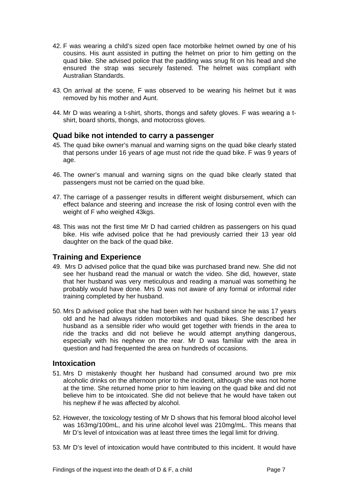- 42. F was wearing a child's sized open face motorbike helmet owned by one of his cousins. His aunt assisted in putting the helmet on prior to him getting on the quad bike. She advised police that the padding was snug fit on his head and she ensured the strap was securely fastened. The helmet was compliant with Australian Standards.
- 43. On arrival at the scene, F was observed to be wearing his helmet but it was removed by his mother and Aunt.
- 44. Mr D was wearing a t-shirt, shorts, thongs and safety gloves. F was wearing a tshirt, board shorts, thongs, and motocross gloves.

#### <span id="page-7-0"></span>**Quad bike not intended to carry a passenger**

- 45. The quad bike owner's manual and warning signs on the quad bike clearly stated that persons under 16 years of age must not ride the quad bike. F was 9 years of age.
- 46. The owner's manual and warning signs on the quad bike clearly stated that passengers must not be carried on the quad bike.
- 47. The carriage of a passenger results in different weight disbursement, which can effect balance and steering and increase the risk of losing control even with the weight of F who weighed 43kgs.
- 48. This was not the first time Mr D had carried children as passengers on his quad bike. His wife advised police that he had previously carried their 13 year old daughter on the back of the quad bike.

#### <span id="page-7-1"></span>**Training and Experience**

- 49. Mrs D advised police that the quad bike was purchased brand new. She did not see her husband read the manual or watch the video. She did, however, state that her husband was very meticulous and reading a manual was something he probably would have done. Mrs D was not aware of any formal or informal rider training completed by her husband.
- 50. Mrs D advised police that she had been with her husband since he was 17 years old and he had always ridden motorbikes and quad bikes. She described her husband as a sensible rider who would get together with friends in the area to ride the tracks and did not believe he would attempt anything dangerous, especially with his nephew on the rear. Mr D was familiar with the area in question and had frequented the area on hundreds of occasions.

#### <span id="page-7-2"></span>**Intoxication**

- 51. Mrs D mistakenly thought her husband had consumed around two pre mix alcoholic drinks on the afternoon prior to the incident, although she was not home at the time. She returned home prior to him leaving on the quad bike and did not believe him to be intoxicated. She did not believe that he would have taken out his nephew if he was affected by alcohol.
- 52. However, the toxicology testing of Mr D shows that his femoral blood alcohol level was 163mg/100mL, and his urine alcohol level was 210mg/mL. This means that Mr D's level of intoxication was at least three times the legal limit for driving.
- 53. Mr D's level of intoxication would have contributed to this incident. It would have